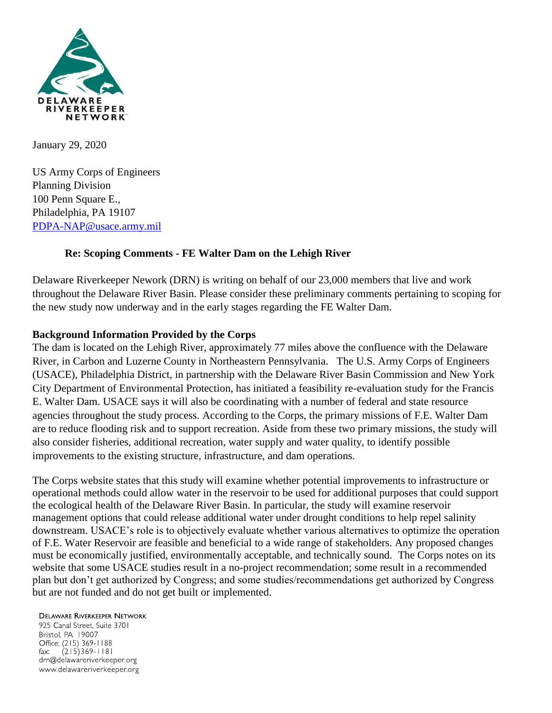

January 29, 2020

US Army Corps of Engineers Planning Division 100 Penn Square E., Philadelphia, PA 19107 [PDPA-NAP@usace.army.mil](mailto:PDPA-NAP@usace.army.mil)

### **Re: Scoping Comments - FE Walter Dam on the Lehigh River**

Delaware Riverkeeper Nework (DRN) is writing on behalf of our 23,000 members that live and work throughout the Delaware River Basin. Please consider these preliminary comments pertaining to scoping for the new study now underway and in the early stages regarding the FE Walter Dam.

## **Background Information Provided by the Corps**

The dam is located on the Lehigh River, approximately 77 miles above the confluence with the Delaware River, in Carbon and Luzerne County in Northeastern Pennsylvania. The U.S. Army Corps of Engineers (USACE), Philadelphia District, in partnership with the Delaware River Basin Commission and New York City Department of Environmental Protection, has initiated a feasibility re-evaluation study for the Francis E. Walter Dam. USACE says it will also be coordinating with a number of federal and state resource agencies throughout the study process. According to the Corps, the primary missions of F.E. Walter Dam are to reduce flooding risk and to support recreation. Aside from these two primary missions, the study will also consider fisheries, additional recreation, water supply and water quality, to identify possible improvements to the existing structure, infrastructure, and dam operations.

The Corps website states that this study will examine whether potential improvements to infrastructure or operational methods could allow water in the reservoir to be used for additional purposes that could support the ecological health of the Delaware River Basin. In particular, the study will examine reservoir management options that could release additional water under drought conditions to help repel salinity downstream. USACE's role is to objectively evaluate whether various alternatives to optimize the operation of F.E. Water Reservoir are feasible and beneficial to a wide range of stakeholders. Any proposed changes must be economically justified, environmentally acceptable, and technically sound. The Corps notes on its website that some USACE studies result in a no-project recommendation; some result in a recommended plan but don't get authorized by Congress; and some studies/recommendations get authorized by Congress but are not funded and do not get built or implemented.

#### **DELAWARE RIVERKEEPER NETWORK**

925 Canal Street, Suite 3701 Bristol, PA 19007 Office: (215) 369-1188  $(215)369 - 1181$ fax: drn@delawareriverkeeper.org www.delawareriverkeeper.org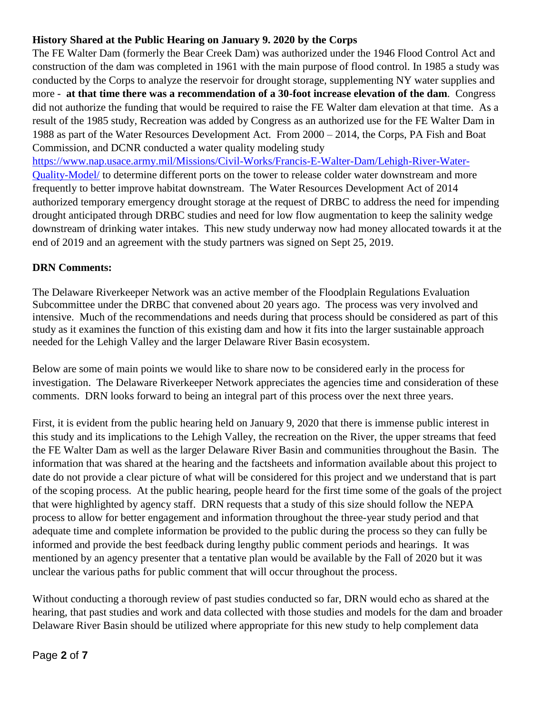## **History Shared at the Public Hearing on January 9. 2020 by the Corps**

The FE Walter Dam (formerly the Bear Creek Dam) was authorized under the 1946 Flood Control Act and construction of the dam was completed in 1961 with the main purpose of flood control. In 1985 a study was conducted by the Corps to analyze the reservoir for drought storage, supplementing NY water supplies and more - **at that time there was a recommendation of a 30-foot increase elevation of the dam**. Congress did not authorize the funding that would be required to raise the FE Walter dam elevation at that time. As a result of the 1985 study, Recreation was added by Congress as an authorized use for the FE Walter Dam in 1988 as part of the Water Resources Development Act. From 2000 – 2014, the Corps, PA Fish and Boat Commission, and DCNR conducted a water quality modeling study

[https://www.nap.usace.army.mil/Missions/Civil-Works/Francis-E-Walter-Dam/Lehigh-River-Water-](https://www.nap.usace.army.mil/Missions/Civil-Works/Francis-E-Walter-Dam/Lehigh-River-Water-Quality-Model/)[Quality-Model/](https://www.nap.usace.army.mil/Missions/Civil-Works/Francis-E-Walter-Dam/Lehigh-River-Water-Quality-Model/) to determine different ports on the tower to release colder water downstream and more frequently to better improve habitat downstream. The Water Resources Development Act of 2014 authorized temporary emergency drought storage at the request of DRBC to address the need for impending drought anticipated through DRBC studies and need for low flow augmentation to keep the salinity wedge downstream of drinking water intakes. This new study underway now had money allocated towards it at the end of 2019 and an agreement with the study partners was signed on Sept 25, 2019.

# **DRN Comments:**

The Delaware Riverkeeper Network was an active member of the Floodplain Regulations Evaluation Subcommittee under the DRBC that convened about 20 years ago. The process was very involved and intensive. Much of the recommendations and needs during that process should be considered as part of this study as it examines the function of this existing dam and how it fits into the larger sustainable approach needed for the Lehigh Valley and the larger Delaware River Basin ecosystem.

Below are some of main points we would like to share now to be considered early in the process for investigation. The Delaware Riverkeeper Network appreciates the agencies time and consideration of these comments. DRN looks forward to being an integral part of this process over the next three years.

First, it is evident from the public hearing held on January 9, 2020 that there is immense public interest in this study and its implications to the Lehigh Valley, the recreation on the River, the upper streams that feed the FE Walter Dam as well as the larger Delaware River Basin and communities throughout the Basin. The information that was shared at the hearing and the factsheets and information available about this project to date do not provide a clear picture of what will be considered for this project and we understand that is part of the scoping process. At the public hearing, people heard for the first time some of the goals of the project that were highlighted by agency staff. DRN requests that a study of this size should follow the NEPA process to allow for better engagement and information throughout the three-year study period and that adequate time and complete information be provided to the public during the process so they can fully be informed and provide the best feedback during lengthy public comment periods and hearings. It was mentioned by an agency presenter that a tentative plan would be available by the Fall of 2020 but it was unclear the various paths for public comment that will occur throughout the process.

Without conducting a thorough review of past studies conducted so far, DRN would echo as shared at the hearing, that past studies and work and data collected with those studies and models for the dam and broader Delaware River Basin should be utilized where appropriate for this new study to help complement data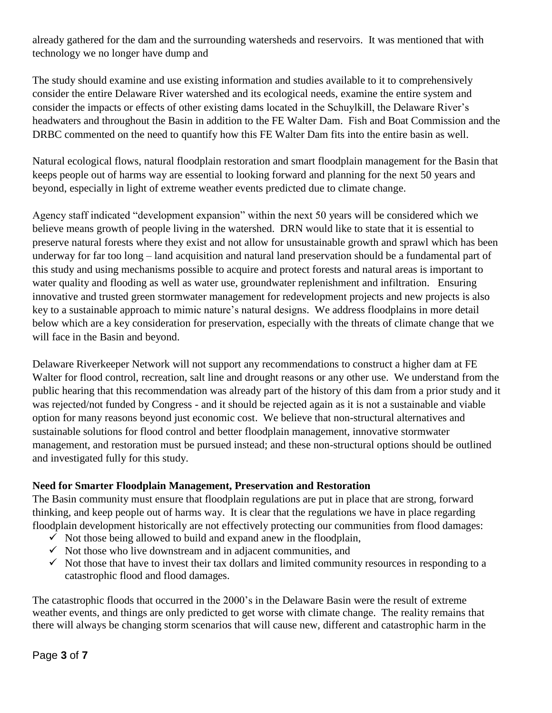already gathered for the dam and the surrounding watersheds and reservoirs. It was mentioned that with technology we no longer have dump and

The study should examine and use existing information and studies available to it to comprehensively consider the entire Delaware River watershed and its ecological needs, examine the entire system and consider the impacts or effects of other existing dams located in the Schuylkill, the Delaware River's headwaters and throughout the Basin in addition to the FE Walter Dam. Fish and Boat Commission and the DRBC commented on the need to quantify how this FE Walter Dam fits into the entire basin as well.

Natural ecological flows, natural floodplain restoration and smart floodplain management for the Basin that keeps people out of harms way are essential to looking forward and planning for the next 50 years and beyond, especially in light of extreme weather events predicted due to climate change.

Agency staff indicated "development expansion" within the next 50 years will be considered which we believe means growth of people living in the watershed. DRN would like to state that it is essential to preserve natural forests where they exist and not allow for unsustainable growth and sprawl which has been underway for far too long – land acquisition and natural land preservation should be a fundamental part of this study and using mechanisms possible to acquire and protect forests and natural areas is important to water quality and flooding as well as water use, groundwater replenishment and infiltration. Ensuring innovative and trusted green stormwater management for redevelopment projects and new projects is also key to a sustainable approach to mimic nature's natural designs. We address floodplains in more detail below which are a key consideration for preservation, especially with the threats of climate change that we will face in the Basin and beyond.

Delaware Riverkeeper Network will not support any recommendations to construct a higher dam at FE Walter for flood control, recreation, salt line and drought reasons or any other use. We understand from the public hearing that this recommendation was already part of the history of this dam from a prior study and it was rejected/not funded by Congress - and it should be rejected again as it is not a sustainable and viable option for many reasons beyond just economic cost. We believe that non-structural alternatives and sustainable solutions for flood control and better floodplain management, innovative stormwater management, and restoration must be pursued instead; and these non-structural options should be outlined and investigated fully for this study.

#### **Need for Smarter Floodplain Management, Preservation and Restoration**

The Basin community must ensure that floodplain regulations are put in place that are strong, forward thinking, and keep people out of harms way. It is clear that the regulations we have in place regarding floodplain development historically are not effectively protecting our communities from flood damages:

- $\checkmark$  Not those being allowed to build and expand anew in the floodplain,
- $\checkmark$  Not those who live downstream and in adjacent communities, and
- $\checkmark$  Not those that have to invest their tax dollars and limited community resources in responding to a catastrophic flood and flood damages.

The catastrophic floods that occurred in the 2000's in the Delaware Basin were the result of extreme weather events, and things are only predicted to get worse with climate change. The reality remains that there will always be changing storm scenarios that will cause new, different and catastrophic harm in the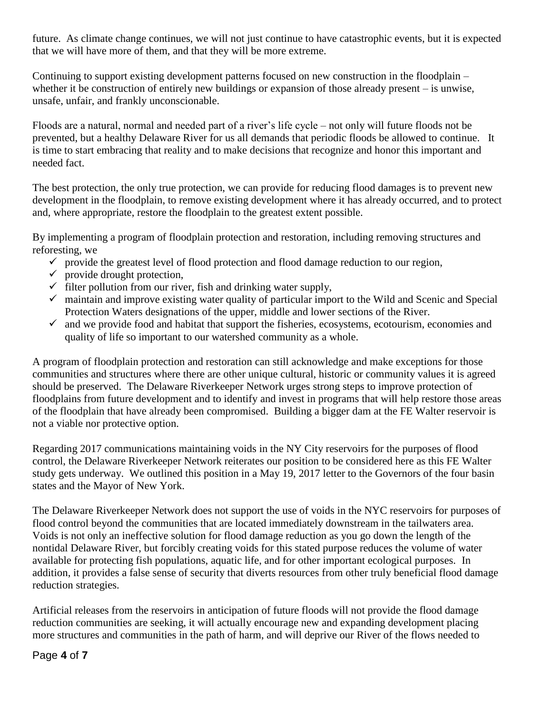future. As climate change continues, we will not just continue to have catastrophic events, but it is expected that we will have more of them, and that they will be more extreme.

Continuing to support existing development patterns focused on new construction in the floodplain – whether it be construction of entirely new buildings or expansion of those already present – is unwise, unsafe, unfair, and frankly unconscionable.

Floods are a natural, normal and needed part of a river's life cycle – not only will future floods not be prevented, but a healthy Delaware River for us all demands that periodic floods be allowed to continue. It is time to start embracing that reality and to make decisions that recognize and honor this important and needed fact.

The best protection, the only true protection, we can provide for reducing flood damages is to prevent new development in the floodplain, to remove existing development where it has already occurred, and to protect and, where appropriate, restore the floodplain to the greatest extent possible.

By implementing a program of floodplain protection and restoration, including removing structures and reforesting, we

- $\checkmark$  provide the greatest level of flood protection and flood damage reduction to our region,
- $\checkmark$  provide drought protection,
- $\checkmark$  filter pollution from our river, fish and drinking water supply,
- $\checkmark$  maintain and improve existing water quality of particular import to the Wild and Scenic and Special Protection Waters designations of the upper, middle and lower sections of the River.
- $\checkmark$  and we provide food and habitat that support the fisheries, ecosystems, ecotourism, economies and quality of life so important to our watershed community as a whole.

A program of floodplain protection and restoration can still acknowledge and make exceptions for those communities and structures where there are other unique cultural, historic or community values it is agreed should be preserved. The Delaware Riverkeeper Network urges strong steps to improve protection of floodplains from future development and to identify and invest in programs that will help restore those areas of the floodplain that have already been compromised. Building a bigger dam at the FE Walter reservoir is not a viable nor protective option.

Regarding 2017 communications maintaining voids in the NY City reservoirs for the purposes of flood control, the Delaware Riverkeeper Network reiterates our position to be considered here as this FE Walter study gets underway. We outlined this position in a May 19, 2017 letter to the Governors of the four basin states and the Mayor of New York.

The Delaware Riverkeeper Network does not support the use of voids in the NYC reservoirs for purposes of flood control beyond the communities that are located immediately downstream in the tailwaters area. Voids is not only an ineffective solution for flood damage reduction as you go down the length of the nontidal Delaware River, but forcibly creating voids for this stated purpose reduces the volume of water available for protecting fish populations, aquatic life, and for other important ecological purposes. In addition, it provides a false sense of security that diverts resources from other truly beneficial flood damage reduction strategies.

Artificial releases from the reservoirs in anticipation of future floods will not provide the flood damage reduction communities are seeking, it will actually encourage new and expanding development placing more structures and communities in the path of harm, and will deprive our River of the flows needed to

#### Page **4** of **7**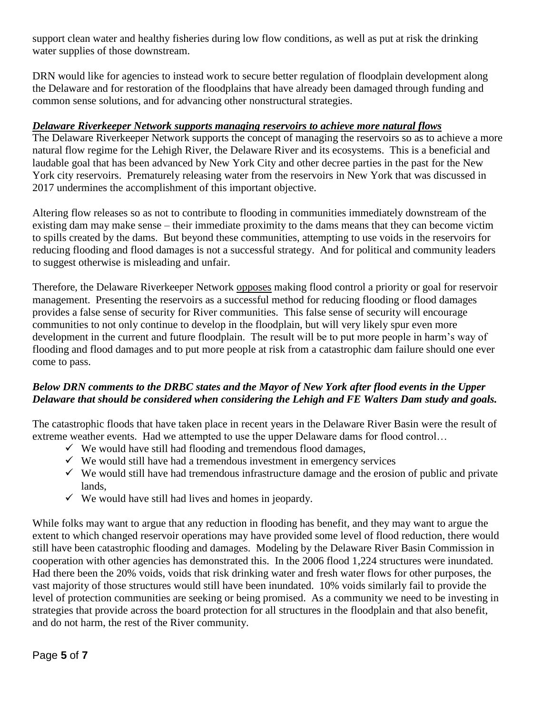support clean water and healthy fisheries during low flow conditions, as well as put at risk the drinking water supplies of those downstream.

DRN would like for agencies to instead work to secure better regulation of floodplain development along the Delaware and for restoration of the floodplains that have already been damaged through funding and common sense solutions, and for advancing other nonstructural strategies.

### *Delaware Riverkeeper Network supports managing reservoirs to achieve more natural flows*

The Delaware Riverkeeper Network supports the concept of managing the reservoirs so as to achieve a more natural flow regime for the Lehigh River, the Delaware River and its ecosystems. This is a beneficial and laudable goal that has been advanced by New York City and other decree parties in the past for the New York city reservoirs. Prematurely releasing water from the reservoirs in New York that was discussed in 2017 undermines the accomplishment of this important objective.

Altering flow releases so as not to contribute to flooding in communities immediately downstream of the existing dam may make sense – their immediate proximity to the dams means that they can become victim to spills created by the dams. But beyond these communities, attempting to use voids in the reservoirs for reducing flooding and flood damages is not a successful strategy. And for political and community leaders to suggest otherwise is misleading and unfair.

Therefore, the Delaware Riverkeeper Network opposes making flood control a priority or goal for reservoir management. Presenting the reservoirs as a successful method for reducing flooding or flood damages provides a false sense of security for River communities. This false sense of security will encourage communities to not only continue to develop in the floodplain, but will very likely spur even more development in the current and future floodplain. The result will be to put more people in harm's way of flooding and flood damages and to put more people at risk from a catastrophic dam failure should one ever come to pass.

## *Below DRN comments to the DRBC states and the Mayor of New York after flood events in the Upper Delaware that should be considered when considering the Lehigh and FE Walters Dam study and goals.*

The catastrophic floods that have taken place in recent years in the Delaware River Basin were the result of extreme weather events. Had we attempted to use the upper Delaware dams for flood control…

- $\checkmark$  We would have still had flooding and tremendous flood damages,
- $\checkmark$  We would still have had a tremendous investment in emergency services
- $\checkmark$  We would still have had tremendous infrastructure damage and the erosion of public and private lands,
- $\checkmark$  We would have still had lives and homes in jeopardy.

While folks may want to argue that any reduction in flooding has benefit, and they may want to argue the extent to which changed reservoir operations may have provided some level of flood reduction, there would still have been catastrophic flooding and damages. Modeling by the Delaware River Basin Commission in cooperation with other agencies has demonstrated this. In the 2006 flood 1,224 structures were inundated. Had there been the 20% voids, voids that risk drinking water and fresh water flows for other purposes, the vast majority of those structures would still have been inundated. 10% voids similarly fail to provide the level of protection communities are seeking or being promised. As a community we need to be investing in strategies that provide across the board protection for all structures in the floodplain and that also benefit, and do not harm, the rest of the River community.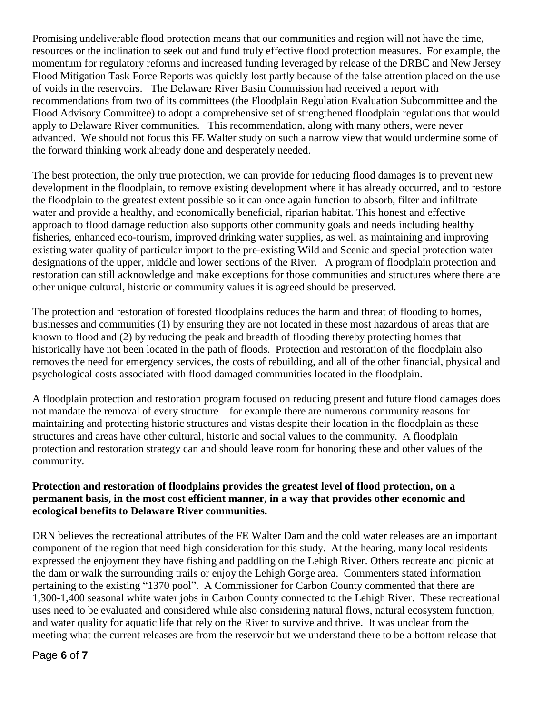Promising undeliverable flood protection means that our communities and region will not have the time, resources or the inclination to seek out and fund truly effective flood protection measures. For example, the momentum for regulatory reforms and increased funding leveraged by release of the DRBC and New Jersey Flood Mitigation Task Force Reports was quickly lost partly because of the false attention placed on the use of voids in the reservoirs. The Delaware River Basin Commission had received a report with recommendations from two of its committees (the Floodplain Regulation Evaluation Subcommittee and the Flood Advisory Committee) to adopt a comprehensive set of strengthened floodplain regulations that would apply to Delaware River communities. This recommendation, along with many others, were never advanced. We should not focus this FE Walter study on such a narrow view that would undermine some of the forward thinking work already done and desperately needed.

The best protection, the only true protection, we can provide for reducing flood damages is to prevent new development in the floodplain, to remove existing development where it has already occurred, and to restore the floodplain to the greatest extent possible so it can once again function to absorb, filter and infiltrate water and provide a healthy, and economically beneficial, riparian habitat. This honest and effective approach to flood damage reduction also supports other community goals and needs including healthy fisheries, enhanced eco-tourism, improved drinking water supplies, as well as maintaining and improving existing water quality of particular import to the pre-existing Wild and Scenic and special protection water designations of the upper, middle and lower sections of the River. A program of floodplain protection and restoration can still acknowledge and make exceptions for those communities and structures where there are other unique cultural, historic or community values it is agreed should be preserved.

The protection and restoration of forested floodplains reduces the harm and threat of flooding to homes, businesses and communities (1) by ensuring they are not located in these most hazardous of areas that are known to flood and (2) by reducing the peak and breadth of flooding thereby protecting homes that historically have not been located in the path of floods. Protection and restoration of the floodplain also removes the need for emergency services, the costs of rebuilding, and all of the other financial, physical and psychological costs associated with flood damaged communities located in the floodplain.

A floodplain protection and restoration program focused on reducing present and future flood damages does not mandate the removal of every structure – for example there are numerous community reasons for maintaining and protecting historic structures and vistas despite their location in the floodplain as these structures and areas have other cultural, historic and social values to the community. A floodplain protection and restoration strategy can and should leave room for honoring these and other values of the community.

#### **Protection and restoration of floodplains provides the greatest level of flood protection, on a permanent basis, in the most cost efficient manner, in a way that provides other economic and ecological benefits to Delaware River communities.**

DRN believes the recreational attributes of the FE Walter Dam and the cold water releases are an important component of the region that need high consideration for this study. At the hearing, many local residents expressed the enjoyment they have fishing and paddling on the Lehigh River. Others recreate and picnic at the dam or walk the surrounding trails or enjoy the Lehigh Gorge area. Commenters stated information pertaining to the existing "1370 pool". A Commissioner for Carbon County commented that there are 1,300-1,400 seasonal white water jobs in Carbon County connected to the Lehigh River. These recreational uses need to be evaluated and considered while also considering natural flows, natural ecosystem function, and water quality for aquatic life that rely on the River to survive and thrive. It was unclear from the meeting what the current releases are from the reservoir but we understand there to be a bottom release that

Page **6** of **7**